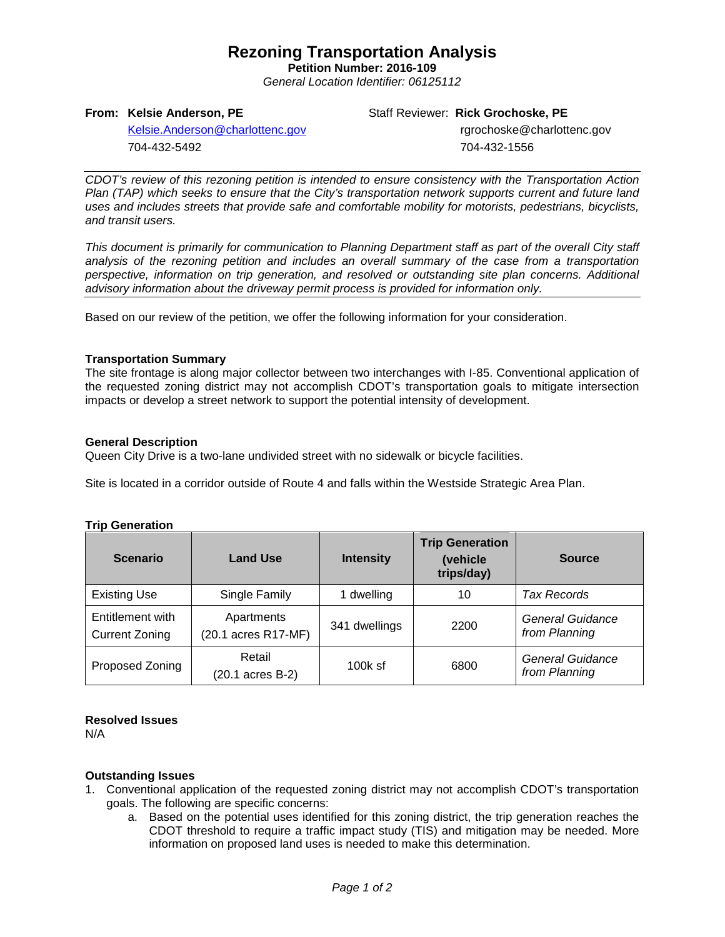# **Rezoning Transportation Analysis**

**Petition Number: 2016-109** *General Location Identifier: 06125112*

### **From: Kelsie Anderson, PE**

Staff Reviewer: **Rick Grochoske, PE**

[Kelsie.Anderson@charlottenc.gov](mailto:Kelsie.Anderson@charlottenc.gov) 704-432-5492

 rgrochoske@charlottenc.gov 704-432-1556

*CDOT's review of this rezoning petition is intended to ensure consistency with the Transportation Action Plan (TAP) which seeks to ensure that the City's transportation network supports current and future land uses and includes streets that provide safe and comfortable mobility for motorists, pedestrians, bicyclists, and transit users.*

*This document is primarily for communication to Planning Department staff as part of the overall City staff analysis of the rezoning petition and includes an overall summary of the case from a transportation perspective, information on trip generation, and resolved or outstanding site plan concerns. Additional advisory information about the driveway permit process is provided for information only.*

Based on our review of the petition, we offer the following information for your consideration.

## **Transportation Summary**

The site frontage is along major collector between two interchanges with I-85. Conventional application of the requested zoning district may not accomplish CDOT's transportation goals to mitigate intersection impacts or develop a street network to support the potential intensity of development.

## **General Description**

Queen City Drive is a two-lane undivided street with no sidewalk or bicycle facilities.

Site is located in a corridor outside of Route 4 and falls within the Westside Strategic Area Plan.

#### **Trip Generation**

| <b>Scenario</b>                           | <b>Land Use</b>                   | <b>Intensity</b> | <b>Trip Generation</b><br>(vehicle<br>trips/day) | <b>Source</b>                            |
|-------------------------------------------|-----------------------------------|------------------|--------------------------------------------------|------------------------------------------|
| <b>Existing Use</b>                       | Single Family                     | 1 dwelling       | 10                                               | Tax Records                              |
| Entitlement with<br><b>Current Zoning</b> | Apartments<br>(20.1 acres R17-MF) | 341 dwellings    | 2200                                             | General Guidance<br>from Planning        |
| Proposed Zoning                           | Retail<br>(20.1 acres B-2)        | $100k$ sf        | 6800                                             | <b>General Guidance</b><br>from Planning |

#### **Resolved Issues**

N/A

#### **Outstanding Issues**

- 1. Conventional application of the requested zoning district may not accomplish CDOT's transportation goals. The following are specific concerns:
	- a. Based on the potential uses identified for this zoning district, the trip generation reaches the CDOT threshold to require a traffic impact study (TIS) and mitigation may be needed. More information on proposed land uses is needed to make this determination.